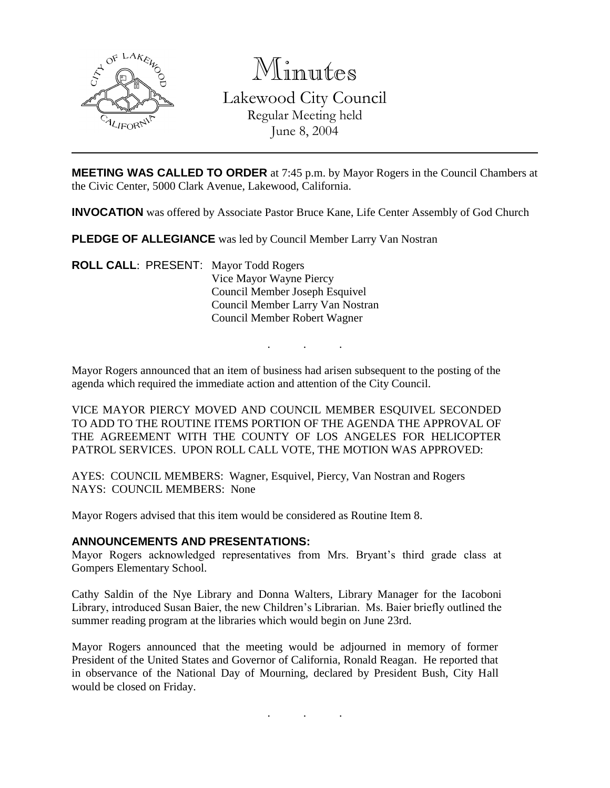

Minutes Lakewood City Council Regular Meeting held June 8, 2004

**MEETING WAS CALLED TO ORDER** at 7:45 p.m. by Mayor Rogers in the Council Chambers at the Civic Center, 5000 Clark Avenue, Lakewood, California.

**INVOCATION** was offered by Associate Pastor Bruce Kane, Life Center Assembly of God Church

**PLEDGE OF ALLEGIANCE** was led by Council Member Larry Van Nostran

**ROLL CALL**: PRESENT: Mayor Todd Rogers Vice Mayor Wayne Piercy Council Member Joseph Esquivel Council Member Larry Van Nostran Council Member Robert Wagner

Mayor Rogers announced that an item of business had arisen subsequent to the posting of the agenda which required the immediate action and attention of the City Council.

. . .

VICE MAYOR PIERCY MOVED AND COUNCIL MEMBER ESQUIVEL SECONDED TO ADD TO THE ROUTINE ITEMS PORTION OF THE AGENDA THE APPROVAL OF THE AGREEMENT WITH THE COUNTY OF LOS ANGELES FOR HELICOPTER PATROL SERVICES. UPON ROLL CALL VOTE, THE MOTION WAS APPROVED:

AYES: COUNCIL MEMBERS: Wagner, Esquivel, Piercy, Van Nostran and Rogers NAYS: COUNCIL MEMBERS: None

Mayor Rogers advised that this item would be considered as Routine Item 8.

### **ANNOUNCEMENTS AND PRESENTATIONS:**

Mayor Rogers acknowledged representatives from Mrs. Bryant's third grade class at Gompers Elementary School.

Cathy Saldin of the Nye Library and Donna Walters, Library Manager for the Iacoboni Library, introduced Susan Baier, the new Children's Librarian. Ms. Baier briefly outlined the summer reading program at the libraries which would begin on June 23rd.

Mayor Rogers announced that the meeting would be adjourned in memory of former President of the United States and Governor of California, Ronald Reagan. He reported that in observance of the National Day of Mourning, declared by President Bush, City Hall would be closed on Friday.

. . .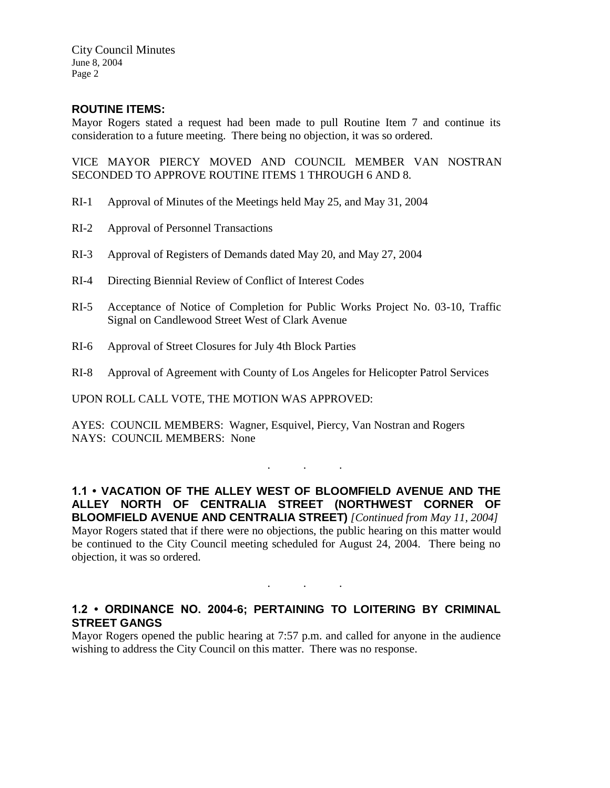City Council Minutes June 8, 2004 Page 2

## **ROUTINE ITEMS:**

Mayor Rogers stated a request had been made to pull Routine Item 7 and continue its consideration to a future meeting. There being no objection, it was so ordered.

VICE MAYOR PIERCY MOVED AND COUNCIL MEMBER VAN NOSTRAN SECONDED TO APPROVE ROUTINE ITEMS 1 THROUGH 6 AND 8.

- RI-1 Approval of Minutes of the Meetings held May 25, and May 31, 2004
- RI-2 Approval of Personnel Transactions
- RI-3 Approval of Registers of Demands dated May 20, and May 27, 2004
- RI-4 Directing Biennial Review of Conflict of Interest Codes
- RI-5 Acceptance of Notice of Completion for Public Works Project No. 03-10, Traffic Signal on Candlewood Street West of Clark Avenue
- RI-6 Approval of Street Closures for July 4th Block Parties
- RI-8 Approval of Agreement with County of Los Angeles for Helicopter Patrol Services

UPON ROLL CALL VOTE, THE MOTION WAS APPROVED:

AYES: COUNCIL MEMBERS: Wagner, Esquivel, Piercy, Van Nostran and Rogers NAYS: COUNCIL MEMBERS: None

**1.1 • VACATION OF THE ALLEY WEST OF BLOOMFIELD AVENUE AND THE ALLEY NORTH OF CENTRALIA STREET (NORTHWEST CORNER OF BLOOMFIELD AVENUE AND CENTRALIA STREET)** *[Continued from May 11, 2004]* Mayor Rogers stated that if there were no objections, the public hearing on this matter would be continued to the City Council meeting scheduled for August 24, 2004. There being no objection, it was so ordered.

. . .

## **1.2 • ORDINANCE NO. 2004-6; PERTAINING TO LOITERING BY CRIMINAL STREET GANGS**

. . .

Mayor Rogers opened the public hearing at 7:57 p.m. and called for anyone in the audience wishing to address the City Council on this matter. There was no response.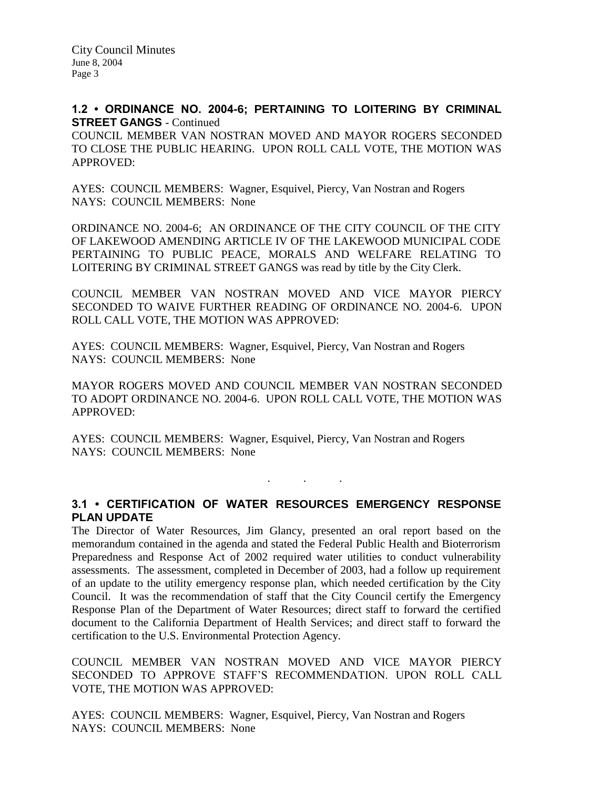City Council Minutes June 8, 2004 Page 3

## **1.2 • ORDINANCE NO. 2004-6; PERTAINING TO LOITERING BY CRIMINAL STREET GANGS - Continued**

COUNCIL MEMBER VAN NOSTRAN MOVED AND MAYOR ROGERS SECONDED TO CLOSE THE PUBLIC HEARING. UPON ROLL CALL VOTE, THE MOTION WAS APPROVED:

AYES: COUNCIL MEMBERS: Wagner, Esquivel, Piercy, Van Nostran and Rogers NAYS: COUNCIL MEMBERS: None

ORDINANCE NO. 2004-6; AN ORDINANCE OF THE CITY COUNCIL OF THE CITY OF LAKEWOOD AMENDING ARTICLE IV OF THE LAKEWOOD MUNICIPAL CODE PERTAINING TO PUBLIC PEACE, MORALS AND WELFARE RELATING TO LOITERING BY CRIMINAL STREET GANGS was read by title by the City Clerk.

COUNCIL MEMBER VAN NOSTRAN MOVED AND VICE MAYOR PIERCY SECONDED TO WAIVE FURTHER READING OF ORDINANCE NO. 2004-6. UPON ROLL CALL VOTE, THE MOTION WAS APPROVED:

AYES: COUNCIL MEMBERS: Wagner, Esquivel, Piercy, Van Nostran and Rogers NAYS: COUNCIL MEMBERS: None

MAYOR ROGERS MOVED AND COUNCIL MEMBER VAN NOSTRAN SECONDED TO ADOPT ORDINANCE NO. 2004-6. UPON ROLL CALL VOTE, THE MOTION WAS APPROVED:

AYES: COUNCIL MEMBERS: Wagner, Esquivel, Piercy, Van Nostran and Rogers NAYS: COUNCIL MEMBERS: None

# **3.1 • CERTIFICATION OF WATER RESOURCES EMERGENCY RESPONSE PLAN UPDATE**

. . .

The Director of Water Resources, Jim Glancy, presented an oral report based on the memorandum contained in the agenda and stated the Federal Public Health and Bioterrorism Preparedness and Response Act of 2002 required water utilities to conduct vulnerability assessments. The assessment, completed in December of 2003, had a follow up requirement of an update to the utility emergency response plan, which needed certification by the City Council. It was the recommendation of staff that the City Council certify the Emergency Response Plan of the Department of Water Resources; direct staff to forward the certified document to the California Department of Health Services; and direct staff to forward the certification to the U.S. Environmental Protection Agency.

COUNCIL MEMBER VAN NOSTRAN MOVED AND VICE MAYOR PIERCY SECONDED TO APPROVE STAFF'S RECOMMENDATION. UPON ROLL CALL VOTE, THE MOTION WAS APPROVED:

AYES: COUNCIL MEMBERS: Wagner, Esquivel, Piercy, Van Nostran and Rogers NAYS: COUNCIL MEMBERS: None